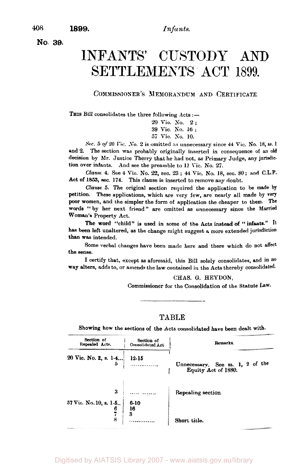**No. 39.** 

# INFANTS' CUSTODY **AND**  SETTLEMENTS ACT 1899.

#### **COMMISSIONER'S MEMORANDUM AND CERTIFICATE.**

THIS Bill consolidates the three following Acts :-

*<sup>20</sup>*Vic. *No.* <sup>2</sup>; **<sup>39</sup>**Vic. **No. 16** ; *57* Vic. *No.* 10.

**Sec. 5** *of 20* **Vic. No.** 2 is omitted **as** unnecessary since **44** Vic. NO. 18, **ss. <sup>1</sup>** and 2. The section was probably originally inserted in consequence of an **old**  decision by Mr. Justice Therry that he had not, **as** Primary Judge, any jurisdiction over infants. And see the preamble to 11 Tic. **No.** 27.

*Clause* **4.** See **4** Vic. No. 22, sec. **23** ; **44** Vic. **No.** 18, sec. 80; and **C.L.P.**  Act of **1853,** sec. **174.** This clause is inserted to remove any doubt.

*Clause* **5.** The original section required the application to be made **by**  petition. These applications, which are very few, are nearly all made **by** very poor women, and the simpler the form of application the cheaper to them. **The**  words ''by her next friend" are omitted as unnecessary since the Married Woman's Property Act.

The word "child" is used in some of the Acts instead of "infants." It has been left unaltered, **as** the change might suggest **a** more extended jurisdiction than was intended.

Some verbal changes have been made here and there which do not affect the sense.

**I** certify that, except **as** aforesaid, this Bill solely consolidates, and in no way alters, adds **to,** or amends the law contained in the Acts thereby consolidated-

#### **CHAS.** *G.* **HEYDON,**

Commissioner for the Consolidation of the Statute **Law.** 

#### **TABLE**

Showing how the sections of the Acts consolidated have been dealt with.

| Section of<br>Repealed Acts. | Section of<br>Consolidated Act | Remarks.                                                |  |
|------------------------------|--------------------------------|---------------------------------------------------------|--|
| 20 Vic. No. 2, s. $1-4$<br>5 | 12-15                          | Unnecessary. See ss. 1, 2 of the<br>Equity Act of 1880. |  |
| 3<br>57 Vic. No. 10, s. 1-5  | .<br>$6 - 10$<br>16            | Repealing section.                                      |  |
| 8                            | 3<br>                          | Short title.                                            |  |

Digitised by AIATSIS Library 2007 - www.aiatsis.gov.au/library

**408 1899.**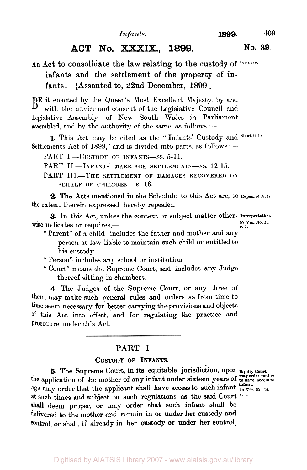# **ACT No.** XXXIX., **1899. No. 39.**

# **An** Act to consolidate the **law** relating to the custody of **Infants.**  infants and the settlement of the property of infants. [Assented to, 22nd December, 1899 ]

BE it enacted by the Queen's Most Excellent Majesty, by and with the advice and consent of the Legislative Council and Legislative Assembly of New South Wales in Parliament assembled, and by the authority of the same, as follows :-

Settlements Act of 1899," and is divided into parts, as follows :— **1.** This Act may be cited as the " Infants' Custody and **Short title.** 

PART I.-CUSTODY OF INFANTS-SS. 5-11.

PART II.-INFANTS' MARRIAGE SETTLEMENTS-SS. 12-15.

PART III.-THE SETTLEMENT OF DAMAGES RECOVERED ON BEHALF OF CHILDREN-S. 16.

the extent therein expressed, hereby repealed. 2. The Acts mentioned in the Schedule to this Act are, to **Repeal of Acts.** 

**3.** In this Act, unless the context or subject matter other- Interpretation. <br>
<sup>57</sup> Vic. No. 10, **Fig. 2** indicates or requires,  $\frac{57}{57}$ 

" Parent" of a child includes the father and mother and any person at law liable to maintain such child or entitled to his custody.

" Person" includes any school or institution.

" Court" means the Supreme Court, and includes any Judge thereof sitting in chambers.

**4** The Judges of the Supreme Court, or any three of them, may make such general rules and orders **as** from time to time seem necessary for better carrying the provisions and objects **of** this Act into effect, and for regulating the practice and Procedure under this Act.

#### PART I

### CUSTODY **OF INFANTS.**

**5.** The Supreme Court, in its equitable jurisdiction, upon **Equity Court** the application of the mother of any infant under sixteen years of **to have access to**  age may order that the applicant shall have access to such infant  $\frac{\text{infant}}{\text{39 Vic. No. 16}}$ at such times and subject to such regulations as the said Court s. 1. shall deem proper, or may order that such infant shall be delivered **to** the mother and remain in or under her custody and control, or shall, if already in her custody or under her control,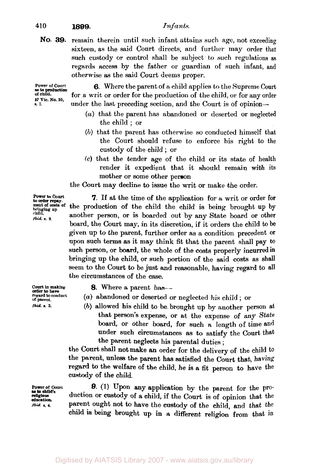#### **410 1899.** *Infants.*

**NO. 39.** remain therein until such infant attains such age, not exceeding sixteen, as the said Court directs, and further may order that such custody or control shall be subject to such regulations **as**  regards access by the father or guardian of such infant, and otherwise **as** the said Court deems proper.

**Power of Court of child. as to production a 1. 57 Vie. No. 10,** 

**6.** Where the parent of a child applies to the Supreme Court for a writ or order for the production of the child, or for any order under the last preceding section, and the Court is of opinion-

- *(a)* that the parent has abandoned or deserted or neglected the child ; or
- **(b)** that the parent has otherwise so conducted himself that the Court should refuse to enforce his right to the custody of the child ; or
- **(c)** that the tender age of the child or its state of health render it expedient that it should remain with its mother or some other person

the Court may decline to issue the writ or make the order.

**Power to** *Court* **to** *order* **repay- ment** *of costs* **of bringing up child**  *Ibid. s.* **2.** 

*7.* If at the time of the application for *a* writ or order for the production of the child the child is being brought up **by**  another person, or is boarded out by any State board or other board, the Court may, in its discretion, if it orders the child **to be**  given up to the parent, further order as a condition precedent or upon such terms **as** it may think fit that the parent shall pay **to**  such **person,** or board, the whole of the **costs** properly incurred in bringing up the child, or such portion of the said costs as shall seem **to** the court to be just and reasonable, having regard to **all**  the circumstances of the case.

**Court in making**  regard to conduct of parent. *Ibid.* **s. 3.** 

8. Where a parent has-

- (a) abandoned or deserted or neglected his child ; or
- (b) allowed his child to he brought up by another person at that person's expense, or at the expense of any State board, or other board, for such a length of time and under such circumstances as **to** satisfy the Court that the parent neglects his parental duties ;

the court shall not make an order for the delivery of the child to the parent, unless the parent has satisfied the Court that, having regard **to** the welfare of the child, he is a fit person to have the custody of the child.

**9. (1)** Upon my application by the parent for the production or custody of a child, if the Court is of opinion that the parent ought not to have the custody of the child, and that the child is being brought up in a different religion from that in

**Power of Court religious education**  *Ibid. s.* **4. as to child's**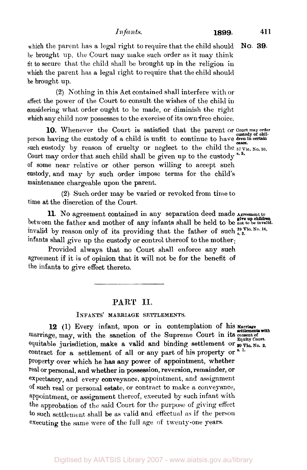which the parent has a legal right to require that the child should be brought up, the Court may make such order as it may think tit to secure that the child shall be brought up in the religion in which the parent has a legal right to require that the child should be brought up. **NO. 39.** 

**(2)** Nothing in this Act contained shall interfere with or affect the power of the Court to consult the wishes of the child in considering what order ought to be made, or diminish the right which any child now possesses to the exercise of its own free choice.

person having the custody of a child is unfit to continue to have **dren in certain**  such custody by reason of cruelty or neglect to the child the  $_{57 \text{ Vic. No. 10}}$ Court may order that such child shall be given up to the custody<sup>3.5.</sup> **of** some near relative or other person willing to accept such custody, and may by such order impose terms for the child's maintenance chargeable upon the parent. **10.** Whenever the Court is satisfied that the parent or Court may order custody of chil-

**(2)** Such order may be varied **or** revoked from time to time at the discretion of the Court.

11. **No** agreement contained in any separation deed made **Agreement to**  between the father and mother of any infants shall be held to be not to be invalid. invalid by reason only of its providing that the father of such  ${}^{39}$  Vic. No. 16, infants shall give up the custody or control thereof to the mother:

Provided always that no Court shall enforce any such agreement if it is of opinion that it will not be for the benefit of the infants to give effect thereto.

#### **PART II.**

#### **INFANTS' MARRIAGE SETTLEMENTS.**

**12 (1)** Every infant, upon **or** in contemplation **of** his marriage **settlements with**  marriage, may, with the sanction of the Supreme Court in its consent of equitable jurisdiction, make a valid and binding settlement or  $\mathbf{p}_0$   $\mathbf{y}_{i_0}$ ,  $\mathbf{x}_0$ . contract for a settlement of all or any part of his property or Property over which he has any power **of** appointment, whether real or personal, and whether in possession, reversion, remainder, **or**  expectancy, and every conveyance, appointment, and assignment **of** such real or personal estate, or contract to make **a** conveyance, appointment, or assignment thereof, executed by such infant with the approbation of the said Court for the purpose of giving effect to such settlement shall be as valid and effectual as if the person executing the same were of the full age of twenty-one years.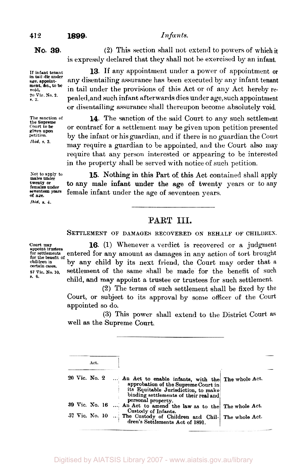#### **412 1899.** *Infants.*

**No. 39. (2)** This section shall not extend to powers of which **it**  is expressly declared that they shall not be exercised by an infant.

> **13.** If any appointment under **a** power of appointment or any disentailing assurance has been executed by any infant tenant in tail under the provisions of this Act or of any Act hereby **re**pealed, and such infant afterwards dies under age, such appointment or disentailing assurance shall thereupon become absolutely void.

> **14.** The sanction of the said Court to any such settlement or contract for a settlement may be given upon petition presented by the infant or his guardian, and if there is no guardian the **Court**  may require a guardian to he appointed, and the Court also may require that any person interested or appearing to be interested in the property shall be served with notice of such petition.

**sot** *to* **apply to twenty** or **females under males under of are.**  Ibid. **s. 4.** 

**15.** Nothing in this Part of this Act contained shall apply to any male infant under the age of twenty years or to any seventeen years female infant under the age of seventeen years.

## **PART III.**

**SETTLEMENT OF DAMAGES RECOVERED ON BEHALF OF CHILDREN.** 

**court may appoint trustees for settlements for the benefit of children in certain** cases. **57 Vic. No. 10,** 

**16. (1)** Whenever a verdict is recovered or a judgment entered for any amount as damages in any action of tort brought by any child by its next friend, the Court may order that **a**  settlement of the same shall be made for the benefit of such **s. 6.** child, and may appoint a trustee **or** trustees for such settlement.

(2) The terms of such settlement shall be fixed by the Court, or subject to its approval by some officer of the Court appointed so do.

**(3)** This power shall extend to the District Court as well **as** the Supreme Court.

|  |                | Act. |  |                                                                                                                                                                          |  |  |
|--|----------------|------|--|--------------------------------------------------------------------------------------------------------------------------------------------------------------------------|--|--|
|  | 20 Vic. No. 2  |      |  | An Act to enable infants, with the The whole Act.<br>approbation of the Supreme Court in<br>its Equitable Jurisdiction, to make<br>binding settlements of their real and |  |  |
|  | 39 Vic. No. 16 |      |  | personal property.<br>An Act to amend the law as to the The whole Act.                                                                                                   |  |  |
|  |                |      |  | Custody of Infants.<br>57 Vic. No. 10  The Custody of Children and Chil- The whole Act.<br>dren's Settlements Act of 1891.                                               |  |  |

**If infant tenant age. appoint-ment. &c., to be void.** 

**In tail die under** 

**20 Vic No.** *2.* **s 2.** 

**The sanction of court** *to*  **pet it ion** 

**the Supreme given upon**  *Ibid.* **s. 3.** 

Digitised by AIATSIS Library 2007 - www.aiatsis.gov.au/library